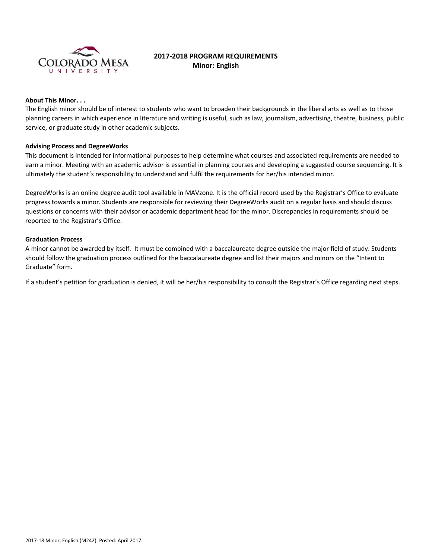

# **2017‐2018 PROGRAM REQUIREMENTS Minor: English**

#### **About This Minor. . .**

The English minor should be of interest to students who want to broaden their backgrounds in the liberal arts as well as to those planning careers in which experience in literature and writing is useful, such as law, journalism, advertising, theatre, business, public service, or graduate study in other academic subjects.

### **Advising Process and DegreeWorks**

This document is intended for informational purposes to help determine what courses and associated requirements are needed to earn a minor. Meeting with an academic advisor is essential in planning courses and developing a suggested course sequencing. It is ultimately the student's responsibility to understand and fulfil the requirements for her/his intended minor.

DegreeWorks is an online degree audit tool available in MAVzone. It is the official record used by the Registrar's Office to evaluate progress towards a minor. Students are responsible for reviewing their DegreeWorks audit on a regular basis and should discuss questions or concerns with their advisor or academic department head for the minor. Discrepancies in requirements should be reported to the Registrar's Office.

### **Graduation Process**

A minor cannot be awarded by itself. It must be combined with a baccalaureate degree outside the major field of study. Students should follow the graduation process outlined for the baccalaureate degree and list their majors and minors on the "Intent to Graduate" form.

If a student's petition for graduation is denied, it will be her/his responsibility to consult the Registrar's Office regarding next steps.